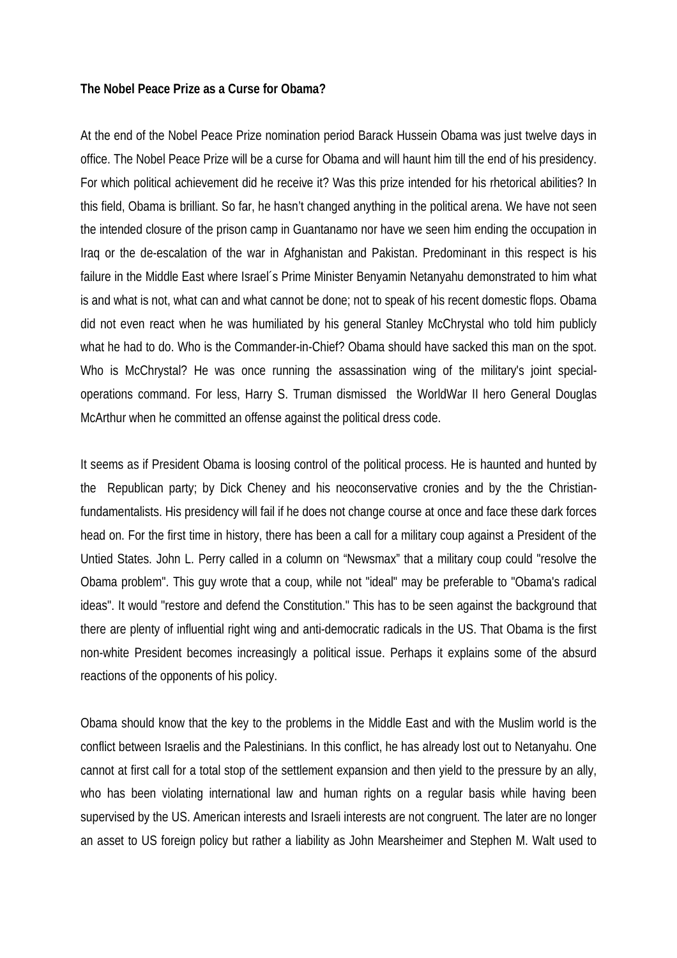## **The Nobel Peace Prize as a Curse for Obama?**

At the end of the Nobel Peace Prize nomination period Barack Hussein Obama was just twelve days in office. The Nobel Peace Prize will be a curse for Obama and will haunt him till the end of his presidency. For which political achievement did he receive it? Was this prize intended for his rhetorical abilities? In this field, Obama is brilliant. So far, he hasn't changed anything in the political arena. We have not seen the intended closure of the prison camp in Guantanamo nor have we seen him ending the occupation in Iraq or the de-escalation of the war in Afghanistan and Pakistan. Predominant in this respect is his failure in the Middle East where Israel´s Prime Minister Benyamin Netanyahu demonstrated to him what is and what is not, what can and what cannot be done; not to speak of his recent domestic flops. Obama did not even react when he was humiliated by his general Stanley McChrystal who told him publicly what he had to do. Who is the Commander-in-Chief? Obama should have sacked this man on the spot. Who is McChrystal? He was once running the assassination wing of the military's joint specialoperations command. For less, Harry S. Truman dismissed the WorldWar II hero General Douglas McArthur when he committed an offense against the political dress code.

It seems as if President Obama is loosing control of the political process. He is haunted and hunted by the Republican party; by Dick Cheney and his neoconservative cronies and by the the Christianfundamentalists. His presidency will fail if he does not change course at once and face these dark forces head on. For the first time in history, there has been a call for a military coup against a President of the Untied States. John L. Perry called in a column on "Newsmax" that a military coup could "resolve the Obama problem". This guy wrote that a coup, while not "ideal" may be preferable to "Obama's radical ideas". It would "restore and defend the Constitution." This has to be seen against the background that there are plenty of influential right wing and anti-democratic radicals in the US. That Obama is the first non-white President becomes increasingly a political issue. Perhaps it explains some of the absurd reactions of the opponents of his policy.

Obama should know that the key to the problems in the Middle East and with the Muslim world is the conflict between Israelis and the Palestinians. In this conflict, he has already lost out to Netanyahu. One cannot at first call for a total stop of the settlement expansion and then yield to the pressure by an ally, who has been violating international law and human rights on a regular basis while having been supervised by the US. American interests and Israeli interests are not congruent. The later are no longer an asset to US foreign policy but rather a liability as John Mearsheimer and Stephen M. Walt used to